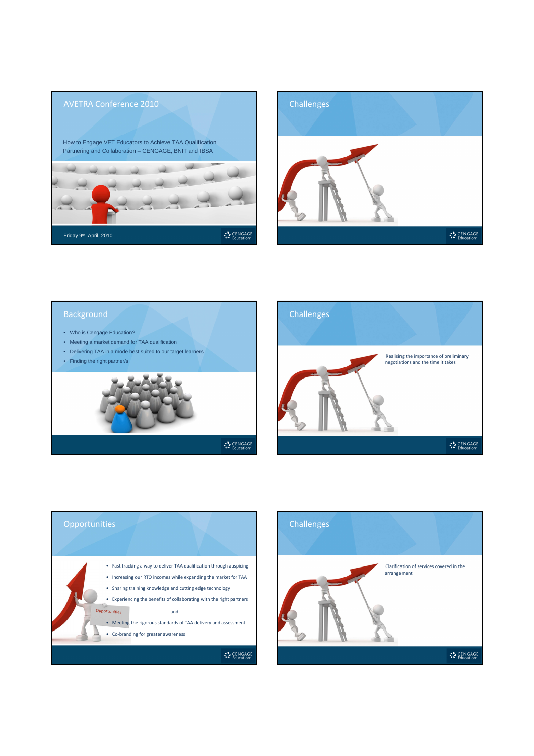